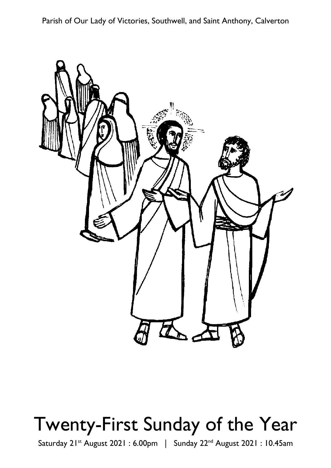Parish of Our Lady of Victories, Southwell, and Saint Anthony, Calverton



# Twenty-First Sunday of the Year

Saturday 21<sup>st</sup> August 2021: 6.00pm | Sunday 22<sup>nd</sup> August 2021: 10.45am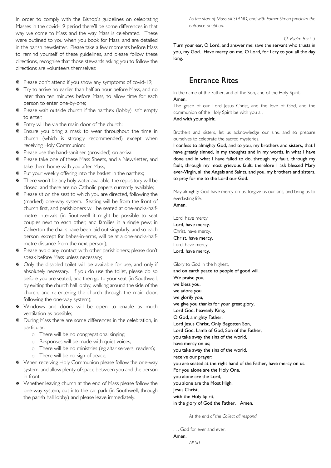In order to comply with the Bishop's guidelines on celebrating Masses in the covid-19 period there'll be some differences in that way we come to Mass and the way Mass is celebrated. These were outlined to you when you book for Mass, and are detailed in the parish newsletter. Please take a few moments before Mass to remind yourself of these guidelines, and please follow these directions, recognise that those stewards asking you to follow the directions are volunteers themselves:

- $\Phi$  Please don't attend if you show any symptoms of covid-19;
- $\overline{∗}$  Try to arrive no earlier than half an hour before Mass, and no later than ten minutes before Mass, to allow time for each person to enter one-by-one;
- **※** Please wait outside church if the narthex (lobby) isn't empty to enter:
- $\Phi$  Entry will be via the main door of the church;
- **※** Ensure you bring a mask to wear throughout the time in church (which is strongly recommended) except when receiving Holy Communion;
- $\Phi$  Please use the hand-sanitiser (provided) on arrival;
- $\overline{∗}$  Please take one of these Mass Sheets, and a Newsletter, and take them home with you after Mass;
- $\Phi$  Put your weekly offering into the basket in the narthex;
- There won't be any holy water available, the repository will be closed, and there are no Catholic papers currently available;
- $\overline{∗}$  Please sit on the seat to which you are directed, following the (marked) one-way system. Seating will be from the front of church first, and parishioners will be seated at one-and-a-halfmetre intervals (in Southwell it might be possible to seat couples next to each other, and families in a single pew; in Calverton the chairs have been laid out singularly, and so each person, except for babes-in-arms, will be at a one-and-a-halfmetre distance from the next person):
- $\overline{∗}$  Please avoid any contact with other parishioners; please don't speak before Mass unless necessary;
- $\Phi$  Only the disabled toilet will be available for use, and only if absolutely necessary. If you do use the toilet, please do so before you are seated, and then go to your seat (in Southwell, by exiting the church hall lobby, walking around the side of the church, and re-entering the church through the main door, following the one-way system);
- \* Windows and doors will be open to enable as much ventilation as possible;
- $\Phi$  During Mass there are some differences in the celebration, in particular:
	- o There will be no congregational singing;
	- o Responses will be made with quiet voices;
	- o There will be no ministries (eg altar servers, readers);
	- o There will be no sign of peace;
- ₩ When receiving Holy Communion please follow the one-way system, and allow plenty of space between you and the person in front:
- ₩ Whether leaving church at the end of Mass please follow the one-way system, out into the car park (in Southwell, through the parish hall lobby) and please leave immediately.

As the start of Mass all STAND, and with Father Simon proclaim the entrance antiphon.

#### Cf. Psalm 85:1-3

Turn your ear, O Lord, and answer me; save the servant who trusts in you, my God. Have mercy on me, O Lord, for I cry to you all the day long.

## **Fntrance Rites**

In the name of the Father, and of the Son, and of the Holy Spirit. Amen

The grace of our Lord Jesus Christ, and the love of God, and the communion of the Holy Spirit be with you all. And with your spirit.

Brothers and sisters, let us acknowledge our sins, and so prepare ourselves to celebrate the sacred mysteries.

I confess to almighty God, and to you, my brothers and sisters, that I have greatly sinned, in my thoughts and in my words, in what I have done and in what I have failed to do, through my fault, through my fault, through my most grievous fault; therefore I ask blessed Mary ever-Virgin, all the Angels and Saints, and you, my brothers and sisters, to pray for me to the Lord our God.

May almighty God have mercy on us, forgive us our sins, and bring us to everlasting life. Amen

Lord, have mercy. Lord, have mercy. Christ, have mercy. Christ, have mercy. Lord, have mercy. Lord, have mercy.

Glory to God in the highest,

and on earth peace to people of good will. We praise you, we bless you, we adore you, we glorify you, we give you thanks for your great glory, Lord God, heavenly King, O God, almighty Father. Lord Jesus Christ, Only Begotten Son, Lord God, Lamb of God, Son of the Father, you take away the sins of the world, have mercy on us; you take away the sins of the world, receive our prayer: you are seated at the right hand of the Father, have mercy on us. For you alone are the Holy One, you alone are the Lord, you alone are the Most High, lesus Christ. with the Holy Spirit, in the glory of God the Father. Amen.

At the end of the Collect all respond:

... God for ever and ever. Amen All SIT.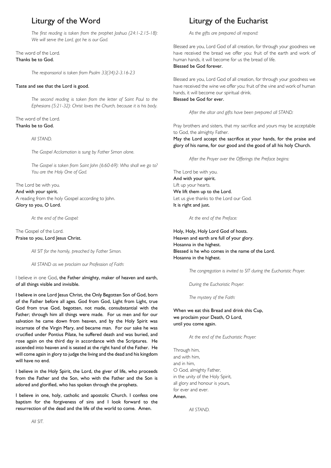## Liturgy of the Word

The first reading is taken from the prophet Joshua (24:1-2.15-18): We will serve the Lord, got he is our God.

#### The word of the Lord. Thanks be to God.

The responsorial is taken from Psalm 33(34):2-3.16-23

#### Taste and see that the Lord is good.

The second reading is taken from the letter of Saint Paul to the Ephesians (5:21-32): Christ loves the Church, because it is his body.

#### The word of the Lord. Thanks be to God.

#### All STAND.

The Gospel Acclamation is sung by Father Simon alone.

The Gospel is taken from Saint John (6:60-69): Who shall we go to? You are the Holy One of God.

The Lord be with you. And with your spirit. A reading from the holy Gospel according to John. Glory to you, O Lord.

At the end of the Gospel:

#### The Gospel of the Lord. Praise to you, Lord Jesus Christ.

All SIT for the homily, preached by Father Simon.

All STAND as we proclaim our Profession of Faith:

I believe in one God, the Father almighty, maker of heaven and earth, of all things visible and invisible.

I believe in one Lord Jesus Christ, the Only Begotten Son of God, born of the Father before all ages. God from God, Light from Light, true God from true God, begotten, not made, consubstantial with the Father; through him all things were made. For us men and for our salvation he came down from heaven, and by the Holy Spirit was incarnate of the Virgin Mary, and became man. For our sake he was crucified under Pontius Pilate, he suffered death and was buried, and rose again on the third day in accordance with the Scriptures. He ascended into heaven and is seated at the right hand of the Father. He will come again in glory to judge the living and the dead and his kingdom will have no end.

I believe in the Holy Spirit, the Lord, the giver of life, who proceeds from the Father and the Son, who with the Father and the Son is adored and glorified, who has spoken through the prophets.

I believe in one, holy, catholic and apostolic Church. I confess one baptism for the forgiveness of sins and I look forward to the resurrection of the dead and the life of the world to come. Amen.

## Liturgy of the Eucharist

As the gifts are prepared all respond:

Blessed are you. Lord God of all creation, for through your goodness we have received the bread we offer you: fruit of the earth and work of human hands, it will become for us the bread of life. Blessed he God forever

Blessed are you, Lord God of all creation, for through your goodness we have received the wine we offer you: fruit of the vine and work of human hands, it will become our spiritual drink.

### Blessed be God for ever.

After the altar and gifts have been prepared all STAND:

Pray brothers and sisters, that my sacrifice and yours may be acceptable to God, the almighty Father.

May the Lord accept the sacrifice at your hands, for the praise and glory of his name, for our good and the good of all his holy Church.

After the Prayer over the Offerings the Preface begins:

The Lord be with you. And with your spirit. Lift up your hearts. We lift them up to the Lord. Let us give thanks to the Lord our God. It is right and just.

At the end of the Preface:

Holy, Holy, Holy Lord God of hosts. Heaven and earth are full of your glory. Hosanna in the highest. Blessed is he who comes in the name of the Lord. Hosanna in the highest.

The congregation is invited to SIT during the Eucharistic Prayer.

During the Eucharistic Prayer.

The mystery of the Faith:

When we eat this Bread and drink this Cup. we proclaim your Death, O Lord, until you come again.

At the end of the Eucharistic Prayer:

Through him. and with him. and in him. O God, almighty Father, in the unity of the Holy Spirit, all glory and honour is yours, for ever and ever. Amen

All STAND.